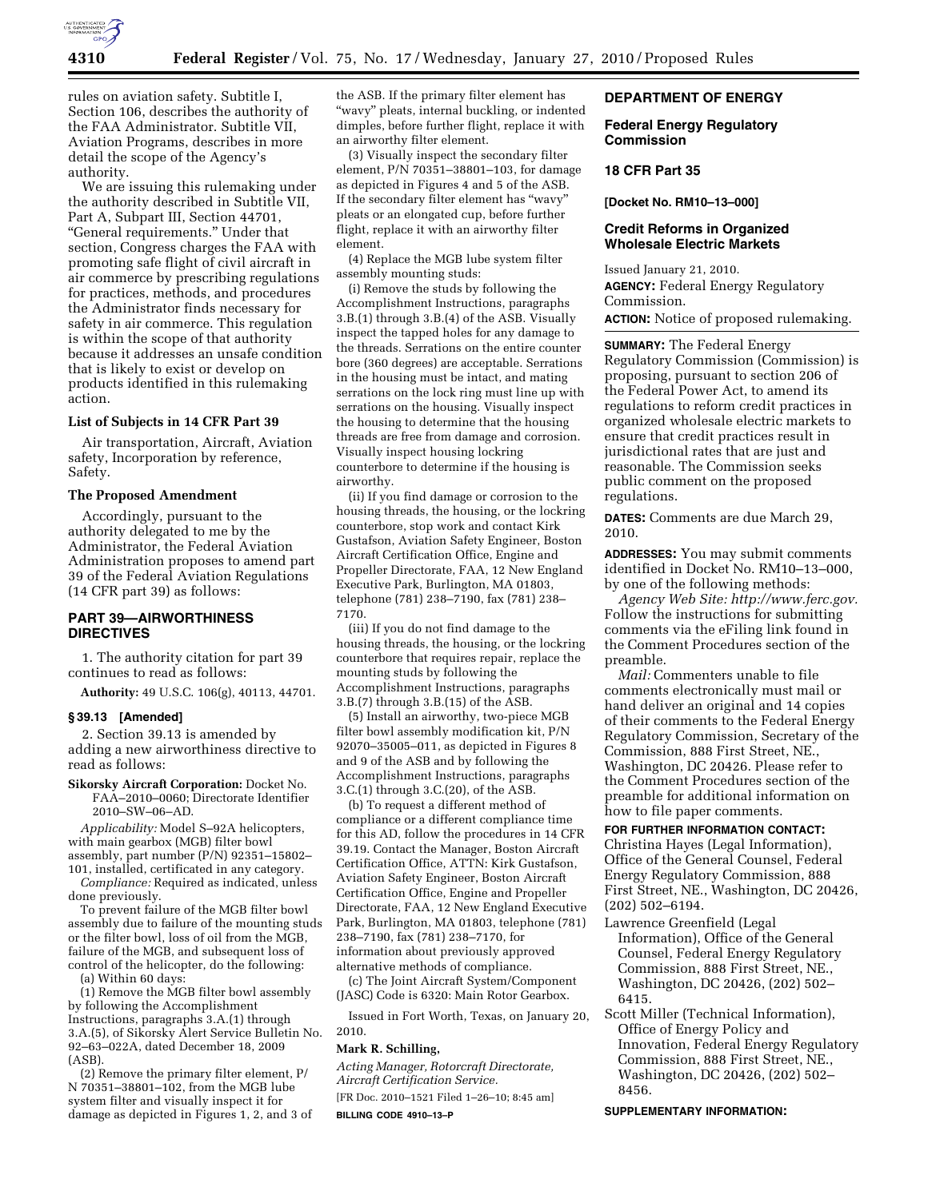

rules on aviation safety. Subtitle I, Section 106, describes the authority of the FAA Administrator. Subtitle VII, Aviation Programs, describes in more detail the scope of the Agency's authority.

We are issuing this rulemaking under the authority described in Subtitle VII, Part A, Subpart III, Section 44701, ''General requirements.'' Under that section, Congress charges the FAA with promoting safe flight of civil aircraft in air commerce by prescribing regulations for practices, methods, and procedures the Administrator finds necessary for safety in air commerce. This regulation is within the scope of that authority because it addresses an unsafe condition that is likely to exist or develop on products identified in this rulemaking action.

### **List of Subjects in 14 CFR Part 39**

Air transportation, Aircraft, Aviation safety, Incorporation by reference, Safety.

### **The Proposed Amendment**

Accordingly, pursuant to the authority delegated to me by the Administrator, the Federal Aviation Administration proposes to amend part 39 of the Federal Aviation Regulations (14 CFR part 39) as follows:

## **PART 39—AIRWORTHINESS DIRECTIVES**

1. The authority citation for part 39 continues to read as follows:

**Authority:** 49 U.S.C. 106(g), 40113, 44701.

### **§ 39.13 [Amended]**

2. Section 39.13 is amended by adding a new airworthiness directive to read as follows:

**Sikorsky Aircraft Corporation:** Docket No. FAA–2010–0060; Directorate Identifier 2010–SW–06–AD.

*Applicability:* Model S–92A helicopters, with main gearbox (MGB) filter bowl assembly, part number (P/N) 92351–15802– 101, installed, certificated in any category.

*Compliance:* Required as indicated, unless done previously.

To prevent failure of the MGB filter bowl assembly due to failure of the mounting studs or the filter bowl, loss of oil from the MGB, failure of the MGB, and subsequent loss of control of the helicopter, do the following: (a) Within 60 days:

(1) Remove the MGB filter bowl assembly by following the Accomplishment Instructions, paragraphs 3.A.(1) through 3.A.(5), of Sikorsky Alert Service Bulletin No. 92–63–022A, dated December 18, 2009 (ASB).

(2) Remove the primary filter element, P/ N 70351–38801–102, from the MGB lube system filter and visually inspect it for damage as depicted in Figures 1, 2, and 3 of the ASB. If the primary filter element has ''wavy'' pleats, internal buckling, or indented dimples, before further flight, replace it with an airworthy filter element.

(3) Visually inspect the secondary filter element, P/N 70351–38801–103, for damage as depicted in Figures 4 and 5 of the ASB. If the secondary filter element has ''wavy'' pleats or an elongated cup, before further flight, replace it with an airworthy filter element.

(4) Replace the MGB lube system filter assembly mounting studs:

(i) Remove the studs by following the Accomplishment Instructions, paragraphs 3.B.(1) through 3.B.(4) of the ASB. Visually inspect the tapped holes for any damage to the threads. Serrations on the entire counter bore (360 degrees) are acceptable. Serrations in the housing must be intact, and mating serrations on the lock ring must line up with serrations on the housing. Visually inspect the housing to determine that the housing threads are free from damage and corrosion. Visually inspect housing lockring counterbore to determine if the housing is airworthy.

(ii) If you find damage or corrosion to the housing threads, the housing, or the lockring counterbore, stop work and contact Kirk Gustafson, Aviation Safety Engineer, Boston Aircraft Certification Office, Engine and Propeller Directorate, FAA, 12 New England Executive Park, Burlington, MA 01803, telephone (781) 238–7190, fax (781) 238– 7170.

(iii) If you do not find damage to the housing threads, the housing, or the lockring counterbore that requires repair, replace the mounting studs by following the Accomplishment Instructions, paragraphs 3.B.(7) through 3.B.(15) of the ASB.

(5) Install an airworthy, two-piece MGB filter bowl assembly modification kit, P/N 92070–35005–011, as depicted in Figures 8 and 9 of the ASB and by following the Accomplishment Instructions, paragraphs 3.C.(1) through 3.C.(20), of the ASB.

(b) To request a different method of compliance or a different compliance time for this AD, follow the procedures in 14 CFR 39.19. Contact the Manager, Boston Aircraft Certification Office, ATTN: Kirk Gustafson, Aviation Safety Engineer, Boston Aircraft Certification Office, Engine and Propeller Directorate, FAA, 12 New England Executive Park, Burlington, MA 01803, telephone (781) 238–7190, fax (781) 238–7170, for information about previously approved alternative methods of compliance.

(c) The Joint Aircraft System/Component (JASC) Code is 6320: Main Rotor Gearbox.

Issued in Fort Worth, Texas, on January 20, 2010.

# **Mark R. Schilling,**

*Acting Manager, Rotorcraft Directorate, Aircraft Certification Service.*  [FR Doc. 2010–1521 Filed 1–26–10; 8:45 am] **BILLING CODE 4910–13–P** 

## **DEPARTMENT OF ENERGY**

## **Federal Energy Regulatory Commission**

## **18 CFR Part 35**

**[Docket No. RM10–13–000]** 

## **Credit Reforms in Organized Wholesale Electric Markets**

Issued January 21, 2010. **AGENCY:** Federal Energy Regulatory Commission.

**ACTION:** Notice of proposed rulemaking.

**SUMMARY:** The Federal Energy Regulatory Commission (Commission) is proposing, pursuant to section 206 of the Federal Power Act, to amend its regulations to reform credit practices in organized wholesale electric markets to ensure that credit practices result in jurisdictional rates that are just and reasonable. The Commission seeks public comment on the proposed regulations.

**DATES:** Comments are due March 29, 2010.

**ADDRESSES:** You may submit comments identified in Docket No. RM10–13–000, by one of the following methods:

*Agency Web Site: http://www.ferc.gov.*  Follow the instructions for submitting comments via the eFiling link found in the Comment Procedures section of the preamble.

*Mail:* Commenters unable to file comments electronically must mail or hand deliver an original and 14 copies of their comments to the Federal Energy Regulatory Commission, Secretary of the Commission, 888 First Street, NE., Washington, DC 20426. Please refer to the Comment Procedures section of the preamble for additional information on how to file paper comments.

**FOR FURTHER INFORMATION CONTACT:**  Christina Hayes (Legal Information), Office of the General Counsel, Federal Energy Regulatory Commission, 888 First Street, NE., Washington, DC 20426, (202) 502–6194.

- Lawrence Greenfield (Legal Information), Office of the General Counsel, Federal Energy Regulatory Commission, 888 First Street, NE., Washington, DC 20426, (202) 502– 6415.
- Scott Miller (Technical Information), Office of Energy Policy and Innovation, Federal Energy Regulatory Commission, 888 First Street, NE., Washington, DC 20426, (202) 502– 8456.

### **SUPPLEMENTARY INFORMATION:**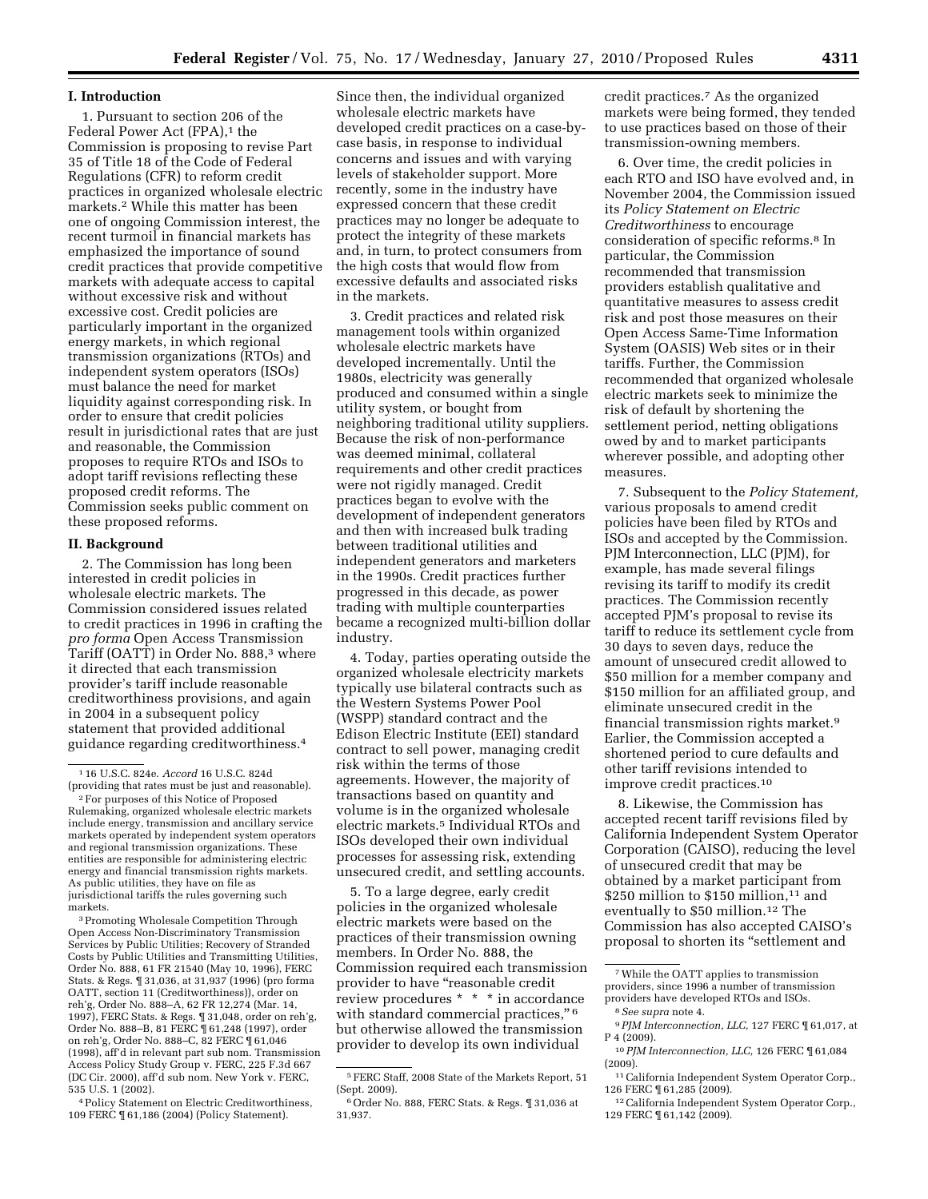### **I. Introduction**

1. Pursuant to section 206 of the Federal Power Act (FPA),<sup>1</sup> the Commission is proposing to revise Part 35 of Title 18 of the Code of Federal Regulations (CFR) to reform credit practices in organized wholesale electric markets.2 While this matter has been one of ongoing Commission interest, the recent turmoil in financial markets has emphasized the importance of sound credit practices that provide competitive markets with adequate access to capital without excessive risk and without excessive cost. Credit policies are particularly important in the organized energy markets, in which regional transmission organizations (RTOs) and independent system operators (ISOs) must balance the need for market liquidity against corresponding risk. In order to ensure that credit policies result in jurisdictional rates that are just and reasonable, the Commission proposes to require RTOs and ISOs to adopt tariff revisions reflecting these proposed credit reforms. The Commission seeks public comment on these proposed reforms.

#### **II. Background**

2. The Commission has long been interested in credit policies in wholesale electric markets. The Commission considered issues related to credit practices in 1996 in crafting the *pro forma* Open Access Transmission Tariff (OATT) in Order No. 888,3 where it directed that each transmission provider's tariff include reasonable creditworthiness provisions, and again in 2004 in a subsequent policy statement that provided additional guidance regarding creditworthiness.4

3Promoting Wholesale Competition Through Open Access Non-Discriminatory Transmission Services by Public Utilities; Recovery of Stranded Costs by Public Utilities and Transmitting Utilities, Order No. 888, 61 FR 21540 (May 10, 1996), FERC Stats. & Regs. ¶ 31,036, at 31,937 (1996) (pro forma OATT, section 11 (Creditworthiness)), order on reh'g, Order No. 888–A, 62 FR 12,274 (Mar. 14, 1997), FERC Stats. & Regs. ¶ 31,048, order on reh'g, Order No. 888–B, 81 FERC ¶ 61,248 (1997), order on reh'g, Order No. 888–C, 82 FERC ¶ 61,046 (1998), aff'd in relevant part sub nom. Transmission Access Policy Study Group v. FERC, 225 F.3d 667 (DC Cir. 2000), aff'd sub nom. New York v. FERC, 535 U.S. 1 (2002).

4Policy Statement on Electric Creditworthiness, 109 FERC ¶ 61,186 (2004) (Policy Statement).

Since then, the individual organized wholesale electric markets have developed credit practices on a case-bycase basis, in response to individual concerns and issues and with varying levels of stakeholder support. More recently, some in the industry have expressed concern that these credit practices may no longer be adequate to protect the integrity of these markets and, in turn, to protect consumers from the high costs that would flow from excessive defaults and associated risks in the markets.

3. Credit practices and related risk management tools within organized wholesale electric markets have developed incrementally. Until the 1980s, electricity was generally produced and consumed within a single utility system, or bought from neighboring traditional utility suppliers. Because the risk of non-performance was deemed minimal, collateral requirements and other credit practices were not rigidly managed. Credit practices began to evolve with the development of independent generators and then with increased bulk trading between traditional utilities and independent generators and marketers in the 1990s. Credit practices further progressed in this decade, as power trading with multiple counterparties became a recognized multi-billion dollar industry.

4. Today, parties operating outside the organized wholesale electricity markets typically use bilateral contracts such as the Western Systems Power Pool (WSPP) standard contract and the Edison Electric Institute (EEI) standard contract to sell power, managing credit risk within the terms of those agreements. However, the majority of transactions based on quantity and volume is in the organized wholesale electric markets.5 Individual RTOs and ISOs developed their own individual processes for assessing risk, extending unsecured credit, and settling accounts.

5. To a large degree, early credit policies in the organized wholesale electric markets were based on the practices of their transmission owning members. In Order No. 888, the Commission required each transmission provider to have "reasonable credit review procedures \* \* \* in accordance with standard commercial practices,"<sup>6</sup> but otherwise allowed the transmission provider to develop its own individual

credit practices.7 As the organized markets were being formed, they tended to use practices based on those of their transmission-owning members.

6. Over time, the credit policies in each RTO and ISO have evolved and, in November 2004, the Commission issued its *Policy Statement on Electric Creditworthiness* to encourage consideration of specific reforms.8 In particular, the Commission recommended that transmission providers establish qualitative and quantitative measures to assess credit risk and post those measures on their Open Access Same-Time Information System (OASIS) Web sites or in their tariffs. Further, the Commission recommended that organized wholesale electric markets seek to minimize the risk of default by shortening the settlement period, netting obligations owed by and to market participants wherever possible, and adopting other measures.

7. Subsequent to the *Policy Statement,*  various proposals to amend credit policies have been filed by RTOs and ISOs and accepted by the Commission. PJM Interconnection, LLC (PJM), for example, has made several filings revising its tariff to modify its credit practices. The Commission recently accepted PJM's proposal to revise its tariff to reduce its settlement cycle from 30 days to seven days, reduce the amount of unsecured credit allowed to \$50 million for a member company and \$150 million for an affiliated group, and eliminate unsecured credit in the financial transmission rights market.9 Earlier, the Commission accepted a shortened period to cure defaults and other tariff revisions intended to improve credit practices.10

8. Likewise, the Commission has accepted recent tariff revisions filed by California Independent System Operator Corporation (CAISO), reducing the level of unsecured credit that may be obtained by a market participant from \$250 million to \$150 million,<sup>11</sup> and eventually to \$50 million.12 The Commission has also accepted CAISO's proposal to shorten its ''settlement and

<sup>1</sup> 16 U.S.C. 824e. *Accord* 16 U.S.C. 824d (providing that rates must be just and reasonable).

<sup>2</sup>For purposes of this Notice of Proposed Rulemaking, organized wholesale electric markets include energy, transmission and ancillary service markets operated by independent system operators and regional transmission organizations. These entities are responsible for administering electric energy and financial transmission rights markets. As public utilities, they have on file as jurisdictional tariffs the rules governing such markets.

<sup>5</sup>FERC Staff, 2008 State of the Markets Report, 51 (Sept. 2009).

<sup>6</sup>Order No. 888, FERC Stats. & Regs. ¶ 31,036 at 31,937.

<sup>7</sup>While the OATT applies to transmission providers, since 1996 a number of transmission providers have developed RTOs and ISOs. 8*See supra* note 4.

<sup>9</sup>*PJM Interconnection, LLC,* 127 FERC ¶ 61,017, at P 4 (2009).

<sup>10</sup>*PJM Interconnection, LLC,* 126 FERC ¶ 61,084  $(2009)$ .

<sup>11</sup>California Independent System Operator Corp., 126 FERC ¶ 61,285 (2009).

<sup>12</sup>California Independent System Operator Corp., 129 FERC ¶ 61,142 (2009).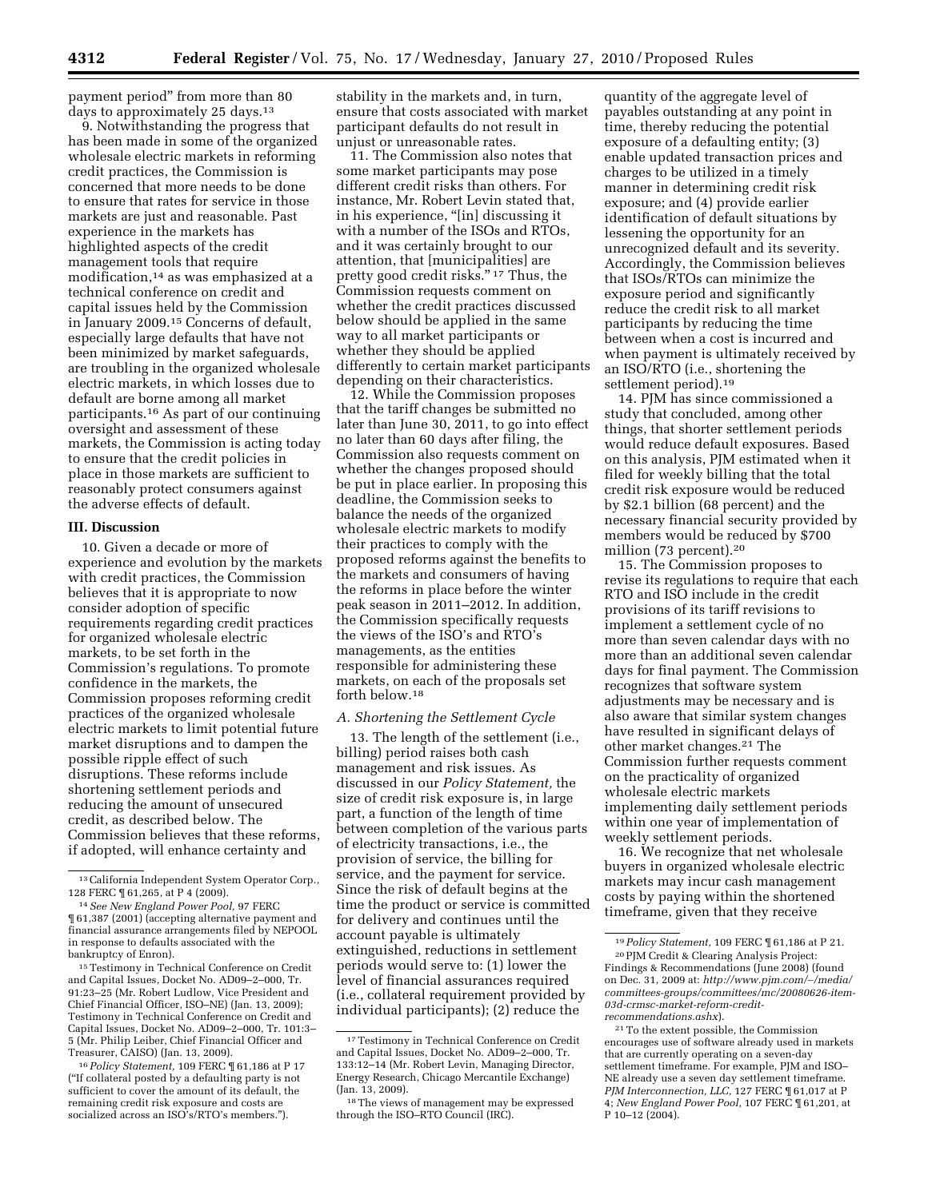payment period'' from more than 80 days to approximately 25 days.13

9. Notwithstanding the progress that has been made in some of the organized wholesale electric markets in reforming credit practices, the Commission is concerned that more needs to be done to ensure that rates for service in those markets are just and reasonable. Past experience in the markets has highlighted aspects of the credit management tools that require modification,14 as was emphasized at a technical conference on credit and capital issues held by the Commission in January 2009.15 Concerns of default, especially large defaults that have not been minimized by market safeguards, are troubling in the organized wholesale electric markets, in which losses due to default are borne among all market participants.16 As part of our continuing oversight and assessment of these markets, the Commission is acting today to ensure that the credit policies in place in those markets are sufficient to reasonably protect consumers against the adverse effects of default.

## **III. Discussion**

10. Given a decade or more of experience and evolution by the markets with credit practices, the Commission believes that it is appropriate to now consider adoption of specific requirements regarding credit practices for organized wholesale electric markets, to be set forth in the Commission's regulations. To promote confidence in the markets, the Commission proposes reforming credit practices of the organized wholesale electric markets to limit potential future market disruptions and to dampen the possible ripple effect of such disruptions. These reforms include shortening settlement periods and reducing the amount of unsecured credit, as described below. The Commission believes that these reforms, if adopted, will enhance certainty and

15Testimony in Technical Conference on Credit and Capital Issues, Docket No. AD09–2–000, Tr. 91:23–25 (Mr. Robert Ludlow, Vice President and Chief Financial Officer, ISO–NE) (Jan. 13, 2009); Testimony in Technical Conference on Credit and Capital Issues, Docket No. AD09–2–000, Tr. 101:3– 5 (Mr. Philip Leiber, Chief Financial Officer and Treasurer, CAISO) (Jan. 13, 2009).

16*Policy Statement,* 109 FERC ¶ 61,186 at P 17 (''If collateral posted by a defaulting party is not sufficient to cover the amount of its default, the remaining credit risk exposure and costs are socialized across an ISO's/RTO's members.'').

stability in the markets and, in turn, ensure that costs associated with market participant defaults do not result in unjust or unreasonable rates.

11. The Commission also notes that some market participants may pose different credit risks than others. For instance, Mr. Robert Levin stated that, in his experience, "[in] discussing it with a number of the ISOs and RTOs, and it was certainly brought to our attention, that [municipalities] are pretty good credit risks."<sup>17</sup> Thus, the Commission requests comment on whether the credit practices discussed below should be applied in the same way to all market participants or whether they should be applied differently to certain market participants depending on their characteristics.

12. While the Commission proposes that the tariff changes be submitted no later than June 30, 2011, to go into effect no later than 60 days after filing, the Commission also requests comment on whether the changes proposed should be put in place earlier. In proposing this deadline, the Commission seeks to balance the needs of the organized wholesale electric markets to modify their practices to comply with the proposed reforms against the benefits to the markets and consumers of having the reforms in place before the winter peak season in 2011–2012. In addition, the Commission specifically requests the views of the ISO's and RTO's managements, as the entities responsible for administering these markets, on each of the proposals set forth below.18

### *A. Shortening the Settlement Cycle*

13. The length of the settlement (i.e., billing) period raises both cash management and risk issues. As discussed in our *Policy Statement,* the size of credit risk exposure is, in large part, a function of the length of time between completion of the various parts of electricity transactions, i.e., the provision of service, the billing for service, and the payment for service. Since the risk of default begins at the time the product or service is committed for delivery and continues until the account payable is ultimately extinguished, reductions in settlement periods would serve to: (1) lower the level of financial assurances required (i.e., collateral requirement provided by individual participants); (2) reduce the

quantity of the aggregate level of payables outstanding at any point in time, thereby reducing the potential exposure of a defaulting entity; (3) enable updated transaction prices and charges to be utilized in a timely manner in determining credit risk exposure; and (4) provide earlier identification of default situations by lessening the opportunity for an unrecognized default and its severity. Accordingly, the Commission believes that ISOs/RTOs can minimize the exposure period and significantly reduce the credit risk to all market participants by reducing the time between when a cost is incurred and when payment is ultimately received by an ISO/RTO (i.e., shortening the settlement period).19

14. PJM has since commissioned a study that concluded, among other things, that shorter settlement periods would reduce default exposures. Based on this analysis, PJM estimated when it filed for weekly billing that the total credit risk exposure would be reduced by \$2.1 billion (68 percent) and the necessary financial security provided by members would be reduced by \$700 million (73 percent).20

15. The Commission proposes to revise its regulations to require that each RTO and ISO include in the credit provisions of its tariff revisions to implement a settlement cycle of no more than seven calendar days with no more than an additional seven calendar days for final payment. The Commission recognizes that software system adjustments may be necessary and is also aware that similar system changes have resulted in significant delays of other market changes.21 The Commission further requests comment on the practicality of organized wholesale electric markets implementing daily settlement periods within one year of implementation of weekly settlement periods.

16. We recognize that net wholesale buyers in organized wholesale electric markets may incur cash management costs by paying within the shortened timeframe, given that they receive

 $^{\rm 13}$  California Independent System Operator Corp., 128 FERC  $\P$  61,265, at P 4 (2009).

<sup>14</sup>*See New England Power Pool,* 97 FERC ¶ 61,387 (2001) (accepting alternative payment and financial assurance arrangements filed by NEPOOL in response to defaults associated with the bankruptcy of Enron).

<sup>17</sup>Testimony in Technical Conference on Credit and Capital Issues, Docket No. AD09–2–000, Tr. 133:12–14 (Mr. Robert Levin, Managing Director, Energy Research, Chicago Mercantile Exchange) (Jan. 13, 2009).

<sup>18</sup>The views of management may be expressed through the ISO–RTO Council (IRC).

<sup>19</sup>*Policy Statement,* 109 FERC ¶ 61,186 at P 21. 20PJM Credit & Clearing Analysis Project:

Findings & Recommendations (June 2008) (found on Dec. 31, 2009 at: *http://www.pjm.com/*∼*/media/ committees-groups/committees/mc/20080626-item-03d-crmsc-market-reform-creditrecommendations.ashx*).

<sup>21</sup>To the extent possible, the Commission encourages use of software already used in markets that are currently operating on a seven-day settlement timeframe. For example, PJM and ISO– NE already use a seven day settlement timeframe. *PJM Interconnection, LLC,* 127 FERC ¶ 61,017 at P 4; *New England Power Pool,* 107 FERC ¶ 61,201, at P 10-12 (2004).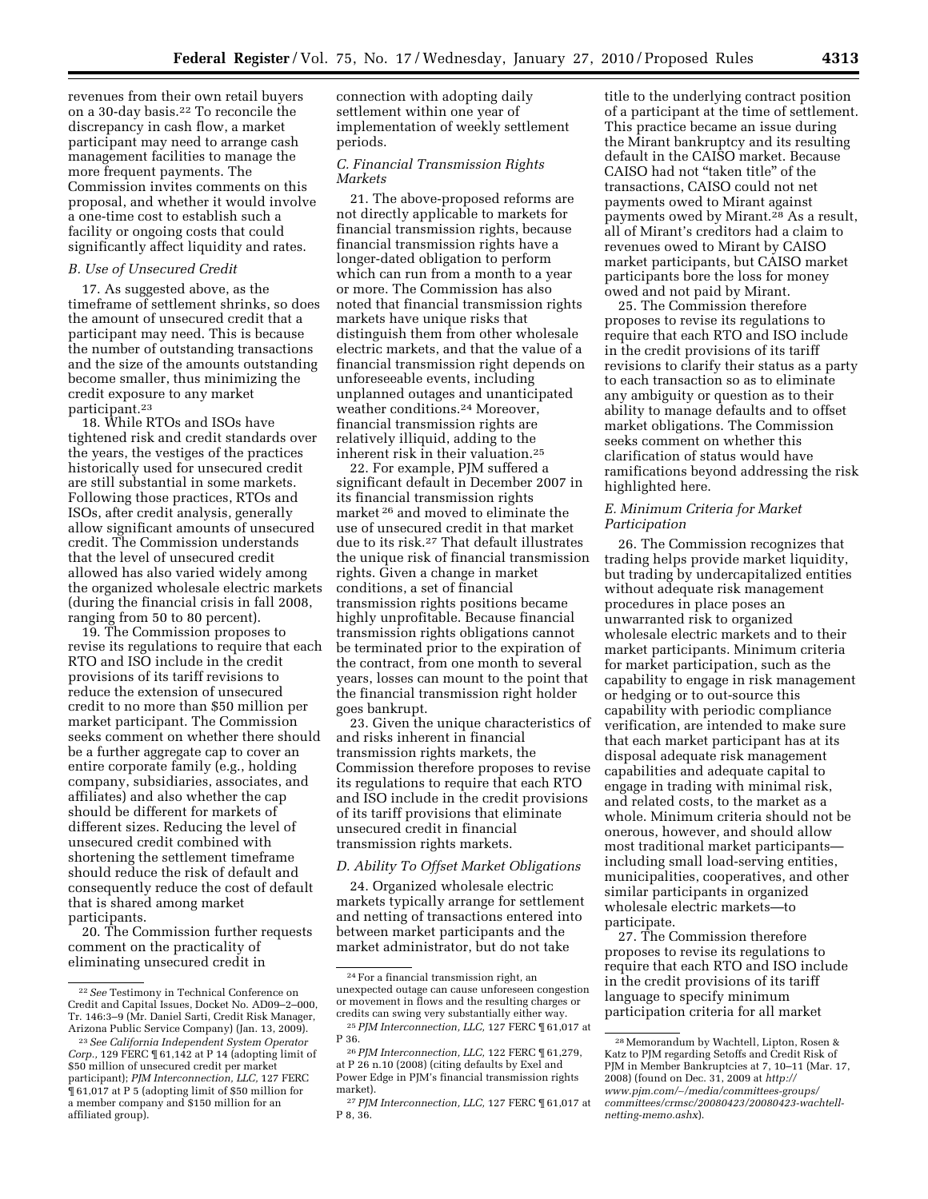revenues from their own retail buyers on a 30-day basis.22 To reconcile the discrepancy in cash flow, a market participant may need to arrange cash management facilities to manage the more frequent payments. The Commission invites comments on this proposal, and whether it would involve a one-time cost to establish such a facility or ongoing costs that could significantly affect liquidity and rates.

#### *B. Use of Unsecured Credit*

17. As suggested above, as the timeframe of settlement shrinks, so does the amount of unsecured credit that a participant may need. This is because the number of outstanding transactions and the size of the amounts outstanding become smaller, thus minimizing the credit exposure to any market participant.23

18. While RTOs and ISOs have tightened risk and credit standards over the years, the vestiges of the practices historically used for unsecured credit are still substantial in some markets. Following those practices, RTOs and ISOs, after credit analysis, generally allow significant amounts of unsecured credit. The Commission understands that the level of unsecured credit allowed has also varied widely among the organized wholesale electric markets (during the financial crisis in fall 2008, ranging from 50 to 80 percent).

19. The Commission proposes to revise its regulations to require that each RTO and ISO include in the credit provisions of its tariff revisions to reduce the extension of unsecured credit to no more than \$50 million per market participant. The Commission seeks comment on whether there should be a further aggregate cap to cover an entire corporate family (e.g., holding company, subsidiaries, associates, and affiliates) and also whether the cap should be different for markets of different sizes. Reducing the level of unsecured credit combined with shortening the settlement timeframe should reduce the risk of default and consequently reduce the cost of default that is shared among market participants.

20. The Commission further requests comment on the practicality of eliminating unsecured credit in

connection with adopting daily settlement within one year of implementation of weekly settlement periods.

# *C. Financial Transmission Rights Markets*

21. The above-proposed reforms are not directly applicable to markets for financial transmission rights, because financial transmission rights have a longer-dated obligation to perform which can run from a month to a year or more. The Commission has also noted that financial transmission rights markets have unique risks that distinguish them from other wholesale electric markets, and that the value of a financial transmission right depends on unforeseeable events, including unplanned outages and unanticipated weather conditions.<sup>24</sup> Moreover, financial transmission rights are relatively illiquid, adding to the inherent risk in their valuation.25

22. For example, PJM suffered a significant default in December 2007 in its financial transmission rights market 26 and moved to eliminate the use of unsecured credit in that market due to its risk.27 That default illustrates the unique risk of financial transmission rights. Given a change in market conditions, a set of financial transmission rights positions became highly unprofitable. Because financial transmission rights obligations cannot be terminated prior to the expiration of the contract, from one month to several years, losses can mount to the point that the financial transmission right holder goes bankrupt.

23. Given the unique characteristics of and risks inherent in financial transmission rights markets, the Commission therefore proposes to revise its regulations to require that each RTO and ISO include in the credit provisions of its tariff provisions that eliminate unsecured credit in financial transmission rights markets.

### *D. Ability To Offset Market Obligations*

24. Organized wholesale electric markets typically arrange for settlement and netting of transactions entered into between market participants and the market administrator, but do not take

title to the underlying contract position of a participant at the time of settlement. This practice became an issue during the Mirant bankruptcy and its resulting default in the CAISO market. Because CAISO had not ''taken title'' of the transactions, CAISO could not net payments owed to Mirant against payments owed by Mirant.28 As a result, all of Mirant's creditors had a claim to revenues owed to Mirant by CAISO market participants, but CAISO market participants bore the loss for money owed and not paid by Mirant.

25. The Commission therefore proposes to revise its regulations to require that each RTO and ISO include in the credit provisions of its tariff revisions to clarify their status as a party to each transaction so as to eliminate any ambiguity or question as to their ability to manage defaults and to offset market obligations. The Commission seeks comment on whether this clarification of status would have ramifications beyond addressing the risk highlighted here.

# *E. Minimum Criteria for Market Participation*

26. The Commission recognizes that trading helps provide market liquidity, but trading by undercapitalized entities without adequate risk management procedures in place poses an unwarranted risk to organized wholesale electric markets and to their market participants. Minimum criteria for market participation, such as the capability to engage in risk management or hedging or to out-source this capability with periodic compliance verification, are intended to make sure that each market participant has at its disposal adequate risk management capabilities and adequate capital to engage in trading with minimal risk, and related costs, to the market as a whole. Minimum criteria should not be onerous, however, and should allow most traditional market participants including small load-serving entities, municipalities, cooperatives, and other similar participants in organized wholesale electric markets—to participate.

27. The Commission therefore proposes to revise its regulations to require that each RTO and ISO include in the credit provisions of its tariff language to specify minimum participation criteria for all market

<sup>22</sup>*See* Testimony in Technical Conference on Credit and Capital Issues, Docket No. AD09–2–000, Tr. 146:3–9 (Mr. Daniel Sarti, Credit Risk Manager, Arizona Public Service Company) (Jan. 13, 2009).

<sup>23</sup>*See California Independent System Operator Corp.,* 129 FERC ¶ 61,142 at P 14 (adopting limit of \$50 million of unsecured credit per market participant); *PJM Interconnection, LLC,* 127 FERC ¶ 61,017 at P 5 (adopting limit of \$50 million for a member company and \$150 million for an affiliated group).

<sup>24</sup>For a financial transmission right, an unexpected outage can cause unforeseen congestion or movement in flows and the resulting charges or credits can swing very substantially either way.

<sup>25</sup>*PJM Interconnection, LLC,* 127 FERC ¶ 61,017 at P 36.

<sup>26</sup>*PJM Interconnection, LLC,* 122 FERC ¶ 61,279, at P 26 n.10 (2008) (citing defaults by Exel and Power Edge in PJM's financial transmission rights market).

<sup>27</sup>*PJM Interconnection, LLC,* 127 FERC ¶ 61,017 at P 8, 36.

<sup>28</sup>Memorandum by Wachtell, Lipton, Rosen & Katz to PJM regarding Setoffs and Credit Risk of PJM in Member Bankruptcies at 7, 10–11 (Mar. 17, 2008) (found on Dec. 31, 2009 at *http:// www.pjm.com/*∼*/media/committees-groups/ committees/crmsc/20080423/20080423-wachtellnetting-memo.ashx*).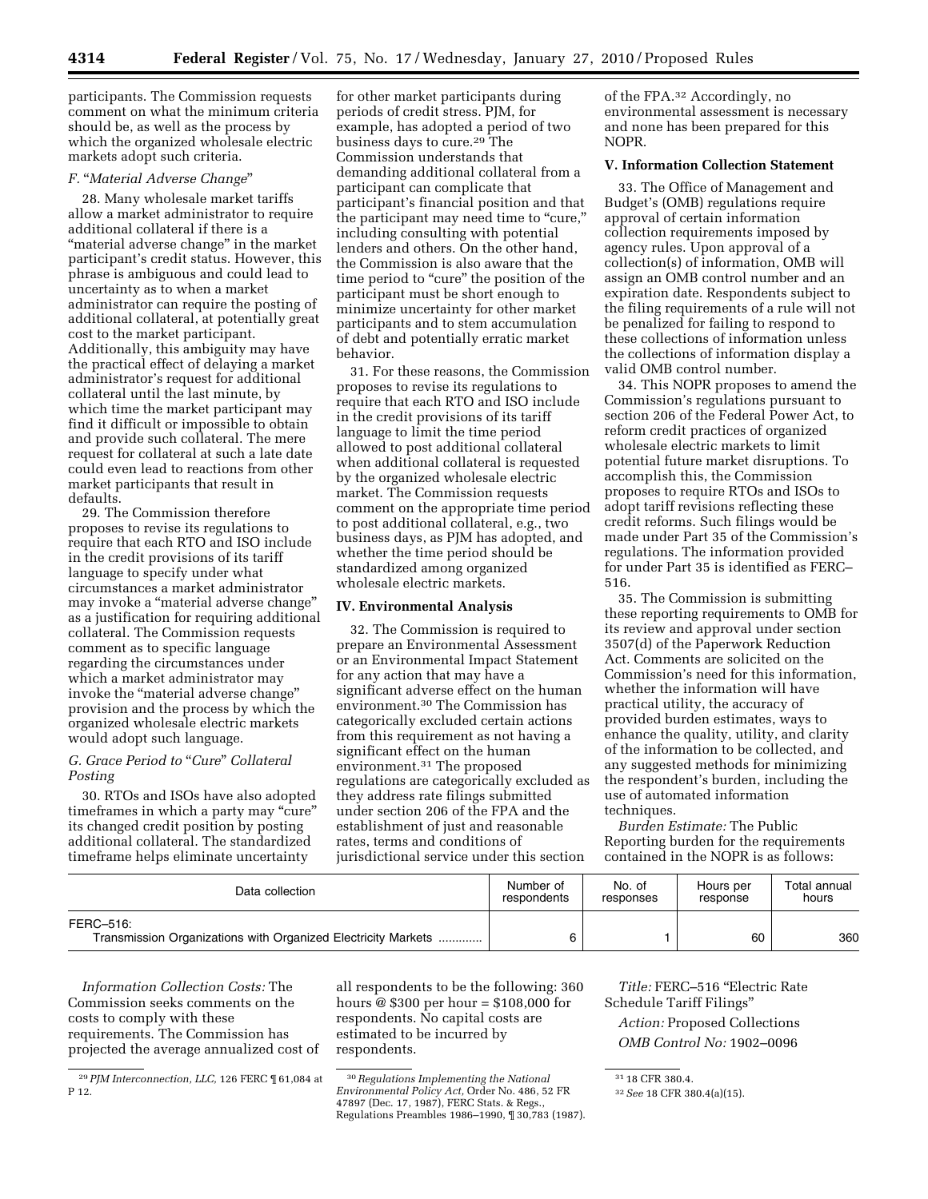participants. The Commission requests comment on what the minimum criteria should be, as well as the process by which the organized wholesale electric markets adopt such criteria.

# *F.* ''*Material Adverse Change*''

28. Many wholesale market tariffs allow a market administrator to require additional collateral if there is a ''material adverse change'' in the market participant's credit status. However, this phrase is ambiguous and could lead to uncertainty as to when a market administrator can require the posting of additional collateral, at potentially great cost to the market participant. Additionally, this ambiguity may have the practical effect of delaying a market administrator's request for additional collateral until the last minute, by which time the market participant may find it difficult or impossible to obtain and provide such collateral. The mere request for collateral at such a late date could even lead to reactions from other market participants that result in defaults.

29. The Commission therefore proposes to revise its regulations to require that each RTO and ISO include in the credit provisions of its tariff language to specify under what circumstances a market administrator may invoke a ''material adverse change'' as a justification for requiring additional collateral. The Commission requests comment as to specific language regarding the circumstances under which a market administrator may invoke the ''material adverse change'' provision and the process by which the organized wholesale electric markets would adopt such language.

# *G. Grace Period to* ''*Cure*'' *Collateral Posting*

30. RTOs and ISOs have also adopted timeframes in which a party may ''cure'' its changed credit position by posting additional collateral. The standardized timeframe helps eliminate uncertainty

for other market participants during periods of credit stress. PJM, for example, has adopted a period of two business days to cure.29 The Commission understands that demanding additional collateral from a participant can complicate that participant's financial position and that the participant may need time to "cure," including consulting with potential lenders and others. On the other hand, the Commission is also aware that the time period to "cure" the position of the participant must be short enough to minimize uncertainty for other market participants and to stem accumulation of debt and potentially erratic market behavior.

31. For these reasons, the Commission proposes to revise its regulations to require that each RTO and ISO include in the credit provisions of its tariff language to limit the time period allowed to post additional collateral when additional collateral is requested by the organized wholesale electric market. The Commission requests comment on the appropriate time period to post additional collateral, e.g., two business days, as PJM has adopted, and whether the time period should be standardized among organized wholesale electric markets.

### **IV. Environmental Analysis**

32. The Commission is required to prepare an Environmental Assessment or an Environmental Impact Statement for any action that may have a significant adverse effect on the human environment.30 The Commission has categorically excluded certain actions from this requirement as not having a significant effect on the human environment.31 The proposed regulations are categorically excluded as they address rate filings submitted under section 206 of the FPA and the establishment of just and reasonable rates, terms and conditions of jurisdictional service under this section

of the FPA.32 Accordingly, no environmental assessment is necessary and none has been prepared for this NOPR.

# **V. Information Collection Statement**

33. The Office of Management and Budget's (OMB) regulations require approval of certain information collection requirements imposed by agency rules. Upon approval of a collection(s) of information, OMB will assign an OMB control number and an expiration date. Respondents subject to the filing requirements of a rule will not be penalized for failing to respond to these collections of information unless the collections of information display a valid OMB control number.

34. This NOPR proposes to amend the Commission's regulations pursuant to section 206 of the Federal Power Act, to reform credit practices of organized wholesale electric markets to limit potential future market disruptions. To accomplish this, the Commission proposes to require RTOs and ISOs to adopt tariff revisions reflecting these credit reforms. Such filings would be made under Part 35 of the Commission's regulations. The information provided for under Part 35 is identified as FERC– 516.

35. The Commission is submitting these reporting requirements to OMB for its review and approval under section 3507(d) of the Paperwork Reduction Act. Comments are solicited on the Commission's need for this information, whether the information will have practical utility, the accuracy of provided burden estimates, ways to enhance the quality, utility, and clarity of the information to be collected, and any suggested methods for minimizing the respondent's burden, including the use of automated information techniques.

*Burden Estimate:* The Public Reporting burden for the requirements contained in the NOPR is as follows:

| Data collection                                                            | Number of   | No. of    | Hours per | Total annual |
|----------------------------------------------------------------------------|-------------|-----------|-----------|--------------|
|                                                                            | respondents | responses | response  | hours        |
| FERC-516:<br>Transmission Organizations with Organized Electricity Markets |             |           | 60        | 360          |

*Information Collection Costs:* The Commission seeks comments on the costs to comply with these requirements. The Commission has projected the average annualized cost of

all respondents to be the following: 360 hours @ \$300 per hour = \$108,000 for respondents. No capital costs are estimated to be incurred by respondents.

*Title:* FERC–516 ''Electric Rate Schedule Tariff Filings''

*Action:* Proposed Collections *OMB Control No:* 1902–0096

<sup>29</sup>*PJM Interconnection, LLC,* 126 FERC ¶ 61,084 at P 12.

<sup>30</sup>*Regulations Implementing the National Environmental Policy Act,* Order No. 486, 52 FR 47897 (Dec. 17, 1987), FERC Stats. & Regs., Regulations Preambles 1986–1990, ¶ 30,783 (1987).

<sup>31</sup> 18 CFR 380.4.

<sup>32</sup>*See* 18 CFR 380.4(a)(15).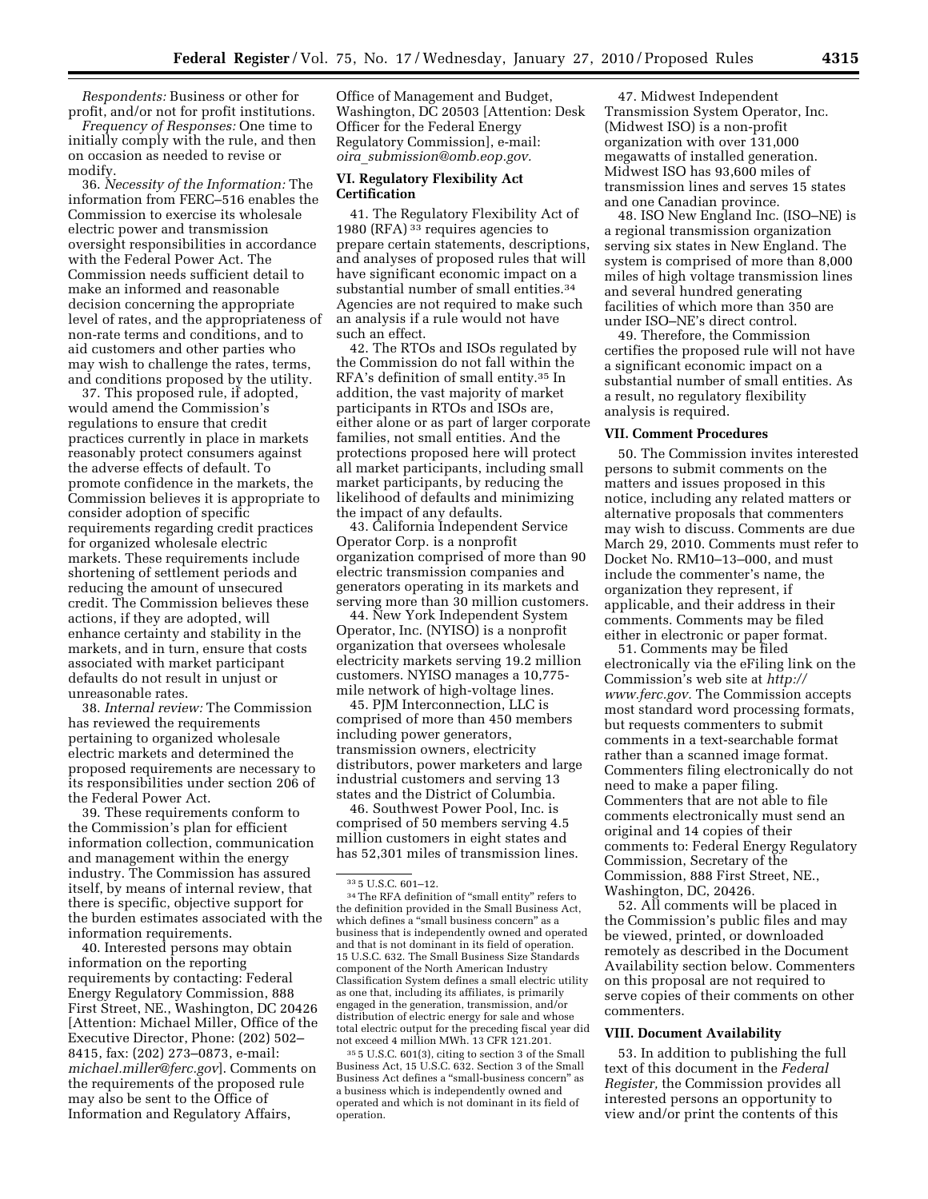*Respondents:* Business or other for profit, and/or not for profit institutions.

*Frequency of Responses:* One time to initially comply with the rule, and then on occasion as needed to revise or modify.

36. *Necessity of the Information:* The information from FERC–516 enables the Commission to exercise its wholesale electric power and transmission oversight responsibilities in accordance with the Federal Power Act. The Commission needs sufficient detail to make an informed and reasonable decision concerning the appropriate level of rates, and the appropriateness of non-rate terms and conditions, and to aid customers and other parties who may wish to challenge the rates, terms, and conditions proposed by the utility.

37. This proposed rule, if adopted, would amend the Commission's regulations to ensure that credit practices currently in place in markets reasonably protect consumers against the adverse effects of default. To promote confidence in the markets, the Commission believes it is appropriate to consider adoption of specific requirements regarding credit practices for organized wholesale electric markets. These requirements include shortening of settlement periods and reducing the amount of unsecured credit. The Commission believes these actions, if they are adopted, will enhance certainty and stability in the markets, and in turn, ensure that costs associated with market participant defaults do not result in unjust or unreasonable rates.

38. *Internal review:* The Commission has reviewed the requirements pertaining to organized wholesale electric markets and determined the proposed requirements are necessary to its responsibilities under section 206 of the Federal Power Act.

39. These requirements conform to the Commission's plan for efficient information collection, communication and management within the energy industry. The Commission has assured itself, by means of internal review, that there is specific, objective support for the burden estimates associated with the information requirements.

40. Interested persons may obtain information on the reporting requirements by contacting: Federal Energy Regulatory Commission, 888 First Street, NE., Washington, DC 20426 [Attention: Michael Miller, Office of the Executive Director, Phone: (202) 502– 8415, fax: (202) 273–0873, e-mail: *michael.miller@ferc.gov*]. Comments on the requirements of the proposed rule may also be sent to the Office of Information and Regulatory Affairs,

Office of Management and Budget, Washington, DC 20503 [Attention: Desk Officer for the Federal Energy Regulatory Commission], e-mail: *oira*\_*submission@omb.eop.gov.* 

## **VI. Regulatory Flexibility Act Certification**

41. The Regulatory Flexibility Act of 1980 (RFA)  $3\overline{3}$  requires agencies to prepare certain statements, descriptions, and analyses of proposed rules that will have significant economic impact on a substantial number of small entities.34 Agencies are not required to make such an analysis if a rule would not have such an effect.

42. The RTOs and ISOs regulated by the Commission do not fall within the RFA's definition of small entity.35 In addition, the vast majority of market participants in RTOs and ISOs are, either alone or as part of larger corporate families, not small entities. And the protections proposed here will protect all market participants, including small market participants, by reducing the likelihood of defaults and minimizing the impact of any defaults.

43. California Independent Service Operator Corp. is a nonprofit organization comprised of more than 90 electric transmission companies and generators operating in its markets and serving more than 30 million customers.

44. New York Independent System Operator, Inc. (NYISO) is a nonprofit organization that oversees wholesale electricity markets serving 19.2 million customers. NYISO manages a 10,775 mile network of high-voltage lines.

45. PJM Interconnection, LLC is comprised of more than 450 members including power generators, transmission owners, electricity distributors, power marketers and large industrial customers and serving 13 states and the District of Columbia.

46. Southwest Power Pool, Inc. is comprised of 50 members serving 4.5 million customers in eight states and has 52,301 miles of transmission lines.

35 5 U.S.C. 601(3), citing to section 3 of the Small Business Act, 15 U.S.C. 632. Section 3 of the Small Business Act defines a ''small-business concern'' as a business which is independently owned and operated and which is not dominant in its field of operation.

47. Midwest Independent Transmission System Operator, Inc. (Midwest ISO) is a non-profit organization with over 131,000 megawatts of installed generation. Midwest ISO has 93,600 miles of transmission lines and serves 15 states and one Canadian province.

48. ISO New England Inc. (ISO–NE) is a regional transmission organization serving six states in New England. The system is comprised of more than 8,000 miles of high voltage transmission lines and several hundred generating facilities of which more than 350 are under ISO–NE's direct control.

49. Therefore, the Commission certifies the proposed rule will not have a significant economic impact on a substantial number of small entities. As a result, no regulatory flexibility analysis is required.

### **VII. Comment Procedures**

50. The Commission invites interested persons to submit comments on the matters and issues proposed in this notice, including any related matters or alternative proposals that commenters may wish to discuss. Comments are due March 29, 2010. Comments must refer to Docket No. RM10–13–000, and must include the commenter's name, the organization they represent, if applicable, and their address in their comments. Comments may be filed either in electronic or paper format.

51. Comments may be filed electronically via the eFiling link on the Commission's web site at *http:// www.ferc.gov.* The Commission accepts most standard word processing formats, but requests commenters to submit comments in a text-searchable format rather than a scanned image format. Commenters filing electronically do not need to make a paper filing. Commenters that are not able to file comments electronically must send an original and 14 copies of their comments to: Federal Energy Regulatory Commission, Secretary of the Commission, 888 First Street, NE., Washington, DC, 20426.

52. All comments will be placed in the Commission's public files and may be viewed, printed, or downloaded remotely as described in the Document Availability section below. Commenters on this proposal are not required to serve copies of their comments on other commenters.

### **VIII. Document Availability**

53. In addition to publishing the full text of this document in the *Federal Register,* the Commission provides all interested persons an opportunity to view and/or print the contents of this

<sup>33</sup> 5 U.S.C. 601–12.

<sup>&</sup>lt;sup>34</sup> The RFA definition of "small entity" refers to the definition provided in the Small Business Act, which defines a "small business concern" as a business that is independently owned and operated and that is not dominant in its field of operation. 15 U.S.C. 632. The Small Business Size Standards component of the North American Industry Classification System defines a small electric utility as one that, including its affiliates, is primarily engaged in the generation, transmission, and/or distribution of electric energy for sale and whose total electric output for the preceding fiscal year did not exceed 4 million MWh. 13 CFR 121.201.